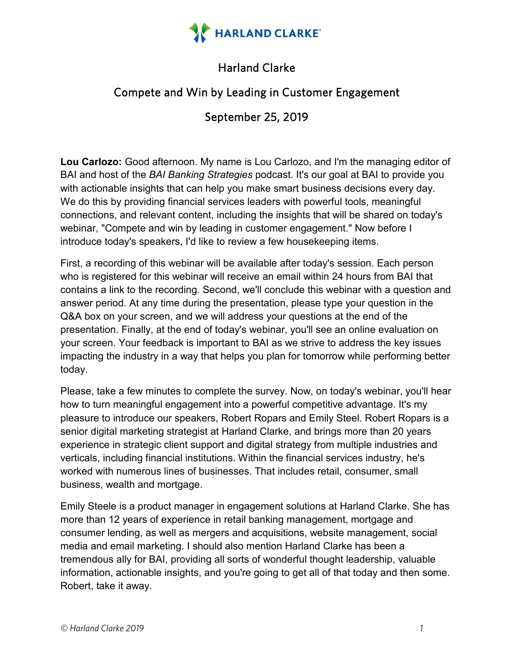

## Harland Clarke

## Compete and Win by Leading in Customer Engagement

## September 25, 2019

**Lou Carlozo:** Good afternoon. My name is Lou Carlozo, and I'm the managing editor of BAI and host of the *BAI Banking Strategies* podcast. It's our goal at BAI to provide you with actionable insights that can help you make smart business decisions every day. We do this by providing financial services leaders with powerful tools, meaningful connections, and relevant content, including the insights that will be shared on today's webinar, "Compete and win by leading in customer engagement." Now before I introduce today's speakers, I'd like to review a few housekeeping items.

First, a recording of this webinar will be available after today's session. Each person who is registered for this webinar will receive an email within 24 hours from BAI that contains a link to the recording. Second, we'll conclude this webinar with a question and answer period. At any time during the presentation, please type your question in the Q&A box on your screen, and we will address your questions at the end of the presentation. Finally, at the end of today's webinar, you'll see an online evaluation on your screen. Your feedback is important to BAI as we strive to address the key issues impacting the industry in a way that helps you plan for tomorrow while performing better today.

Please, take a few minutes to complete the survey. Now, on today's webinar, you'll hear how to turn meaningful engagement into a powerful competitive advantage. It's my pleasure to introduce our speakers, Robert Ropars and Emily Steel. Robert Ropars is a senior digital marketing strategist at Harland Clarke, and brings more than 20 years experience in strategic client support and digital strategy from multiple industries and verticals, including financial institutions. Within the financial services industry, he's worked with numerous lines of businesses. That includes retail, consumer, small business, wealth and mortgage.

Emily Steele is a product manager in engagement solutions at Harland Clarke. She has more than 12 years of experience in retail banking management, mortgage and consumer lending, as well as mergers and acquisitions, website management, social media and email marketing. I should also mention Harland Clarke has been a tremendous ally for BAI, providing all sorts of wonderful thought leadership, valuable information, actionable insights, and you're going to get all of that today and then some. Robert, take it away.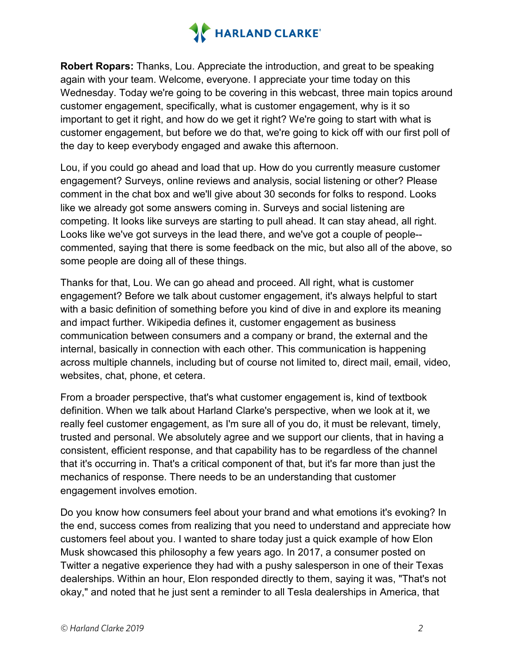

**Robert Ropars:** Thanks, Lou. Appreciate the introduction, and great to be speaking again with your team. Welcome, everyone. I appreciate your time today on this Wednesday. Today we're going to be covering in this webcast, three main topics around customer engagement, specifically, what is customer engagement, why is it so important to get it right, and how do we get it right? We're going to start with what is customer engagement, but before we do that, we're going to kick off with our first poll of the day to keep everybody engaged and awake this afternoon.

Lou, if you could go ahead and load that up. How do you currently measure customer engagement? Surveys, online reviews and analysis, social listening or other? Please comment in the chat box and we'll give about 30 seconds for folks to respond. Looks like we already got some answers coming in. Surveys and social listening are competing. It looks like surveys are starting to pull ahead. It can stay ahead, all right. Looks like we've got surveys in the lead there, and we've got a couple of people- commented, saying that there is some feedback on the mic, but also all of the above, so some people are doing all of these things.

Thanks for that, Lou. We can go ahead and proceed. All right, what is customer engagement? Before we talk about customer engagement, it's always helpful to start with a basic definition of something before you kind of dive in and explore its meaning and impact further. Wikipedia defines it, customer engagement as business communication between consumers and a company or brand, the external and the internal, basically in connection with each other. This communication is happening across multiple channels, including but of course not limited to, direct mail, email, video, websites, chat, phone, et cetera.

From a broader perspective, that's what customer engagement is, kind of textbook definition. When we talk about Harland Clarke's perspective, when we look at it, we really feel customer engagement, as I'm sure all of you do, it must be relevant, timely, trusted and personal. We absolutely agree and we support our clients, that in having a consistent, efficient response, and that capability has to be regardless of the channel that it's occurring in. That's a critical component of that, but it's far more than just the mechanics of response. There needs to be an understanding that customer engagement involves emotion.

Do you know how consumers feel about your brand and what emotions it's evoking? In the end, success comes from realizing that you need to understand and appreciate how customers feel about you. I wanted to share today just a quick example of how Elon Musk showcased this philosophy a few years ago. In 2017, a consumer posted on Twitter a negative experience they had with a pushy salesperson in one of their Texas dealerships. Within an hour, Elon responded directly to them, saying it was, "That's not okay," and noted that he just sent a reminder to all Tesla dealerships in America, that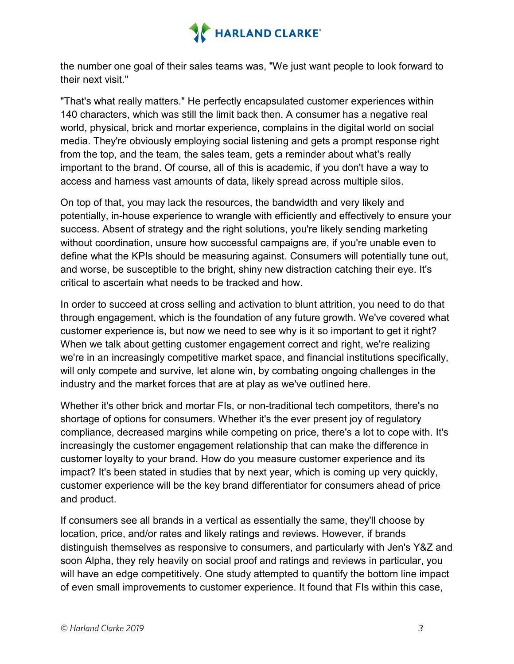

the number one goal of their sales teams was, "We just want people to look forward to their next visit."

"That's what really matters." He perfectly encapsulated customer experiences within 140 characters, which was still the limit back then. A consumer has a negative real world, physical, brick and mortar experience, complains in the digital world on social media. They're obviously employing social listening and gets a prompt response right from the top, and the team, the sales team, gets a reminder about what's really important to the brand. Of course, all of this is academic, if you don't have a way to access and harness vast amounts of data, likely spread across multiple silos.

On top of that, you may lack the resources, the bandwidth and very likely and potentially, in-house experience to wrangle with efficiently and effectively to ensure your success. Absent of strategy and the right solutions, you're likely sending marketing without coordination, unsure how successful campaigns are, if you're unable even to define what the KPIs should be measuring against. Consumers will potentially tune out, and worse, be susceptible to the bright, shiny new distraction catching their eye. It's critical to ascertain what needs to be tracked and how.

In order to succeed at cross selling and activation to blunt attrition, you need to do that through engagement, which is the foundation of any future growth. We've covered what customer experience is, but now we need to see why is it so important to get it right? When we talk about getting customer engagement correct and right, we're realizing we're in an increasingly competitive market space, and financial institutions specifically, will only compete and survive, let alone win, by combating ongoing challenges in the industry and the market forces that are at play as we've outlined here.

Whether it's other brick and mortar FIs, or non-traditional tech competitors, there's no shortage of options for consumers. Whether it's the ever present joy of regulatory compliance, decreased margins while competing on price, there's a lot to cope with. It's increasingly the customer engagement relationship that can make the difference in customer loyalty to your brand. How do you measure customer experience and its impact? It's been stated in studies that by next year, which is coming up very quickly, customer experience will be the key brand differentiator for consumers ahead of price and product.

If consumers see all brands in a vertical as essentially the same, they'll choose by location, price, and/or rates and likely ratings and reviews. However, if brands distinguish themselves as responsive to consumers, and particularly with Jen's Y&Z and soon Alpha, they rely heavily on social proof and ratings and reviews in particular, you will have an edge competitively. One study attempted to quantify the bottom line impact of even small improvements to customer experience. It found that FIs within this case,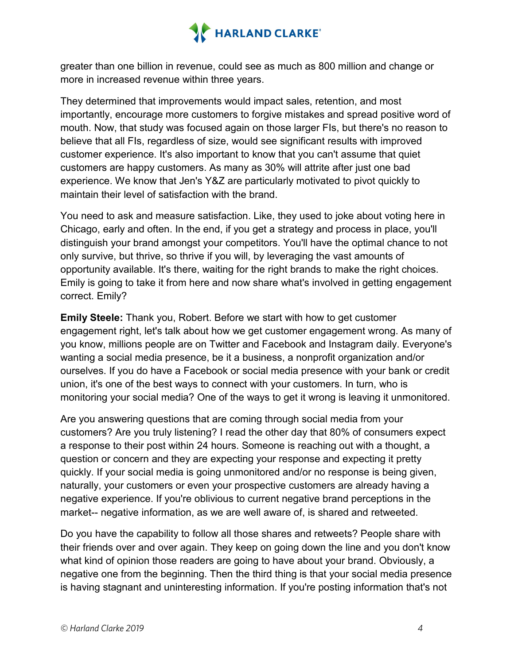

greater than one billion in revenue, could see as much as 800 million and change or more in increased revenue within three years.

They determined that improvements would impact sales, retention, and most importantly, encourage more customers to forgive mistakes and spread positive word of mouth. Now, that study was focused again on those larger FIs, but there's no reason to believe that all FIs, regardless of size, would see significant results with improved customer experience. It's also important to know that you can't assume that quiet customers are happy customers. As many as 30% will attrite after just one bad experience. We know that Jen's Y&Z are particularly motivated to pivot quickly to maintain their level of satisfaction with the brand.

You need to ask and measure satisfaction. Like, they used to joke about voting here in Chicago, early and often. In the end, if you get a strategy and process in place, you'll distinguish your brand amongst your competitors. You'll have the optimal chance to not only survive, but thrive, so thrive if you will, by leveraging the vast amounts of opportunity available. It's there, waiting for the right brands to make the right choices. Emily is going to take it from here and now share what's involved in getting engagement correct. Emily?

**Emily Steele:** Thank you, Robert. Before we start with how to get customer engagement right, let's talk about how we get customer engagement wrong. As many of you know, millions people are on Twitter and Facebook and Instagram daily. Everyone's wanting a social media presence, be it a business, a nonprofit organization and/or ourselves. If you do have a Facebook or social media presence with your bank or credit union, it's one of the best ways to connect with your customers. In turn, who is monitoring your social media? One of the ways to get it wrong is leaving it unmonitored.

Are you answering questions that are coming through social media from your customers? Are you truly listening? I read the other day that 80% of consumers expect a response to their post within 24 hours. Someone is reaching out with a thought, a question or concern and they are expecting your response and expecting it pretty quickly. If your social media is going unmonitored and/or no response is being given, naturally, your customers or even your prospective customers are already having a negative experience. If you're oblivious to current negative brand perceptions in the market-- negative information, as we are well aware of, is shared and retweeted.

Do you have the capability to follow all those shares and retweets? People share with their friends over and over again. They keep on going down the line and you don't know what kind of opinion those readers are going to have about your brand. Obviously, a negative one from the beginning. Then the third thing is that your social media presence is having stagnant and uninteresting information. If you're posting information that's not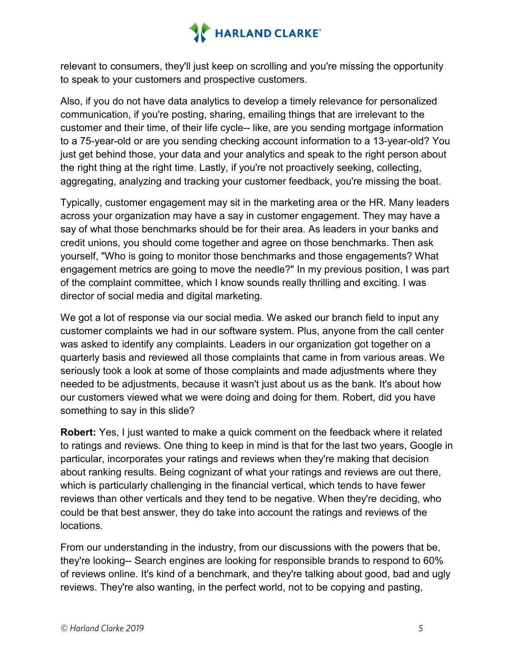

relevant to consumers, they'll just keep on scrolling and you're missing the opportunity to speak to your customers and prospective customers.

Also, if you do not have data analytics to develop a timely relevance for personalized communication, if you're posting, sharing, emailing things that are irrelevant to the customer and their time, of their life cycle-- like, are you sending mortgage information to a 75-year-old or are you sending checking account information to a 13-year-old? You just get behind those, your data and your analytics and speak to the right person about the right thing at the right time. Lastly, if you're not proactively seeking, collecting, aggregating, analyzing and tracking your customer feedback, you're missing the boat.

Typically, customer engagement may sit in the marketing area or the HR. Many leaders across your organization may have a say in customer engagement. They may have a say of what those benchmarks should be for their area. As leaders in your banks and credit unions, you should come together and agree on those benchmarks. Then ask yourself, "Who is going to monitor those benchmarks and those engagements? What engagement metrics are going to move the needle?" In my previous position, I was part of the complaint committee, which I know sounds really thrilling and exciting. I was director of social media and digital marketing.

We got a lot of response via our social media. We asked our branch field to input any customer complaints we had in our software system. Plus, anyone from the call center was asked to identify any complaints. Leaders in our organization got together on a quarterly basis and reviewed all those complaints that came in from various areas. We seriously took a look at some of those complaints and made adjustments where they needed to be adjustments, because it wasn't just about us as the bank. It's about how our customers viewed what we were doing and doing for them. Robert, did you have something to say in this slide?

**Robert:** Yes, I just wanted to make a quick comment on the feedback where it related to ratings and reviews. One thing to keep in mind is that for the last two years, Google in particular, incorporates your ratings and reviews when they're making that decision about ranking results. Being cognizant of what your ratings and reviews are out there, which is particularly challenging in the financial vertical, which tends to have fewer reviews than other verticals and they tend to be negative. When they're deciding, who could be that best answer, they do take into account the ratings and reviews of the locations.

From our understanding in the industry, from our discussions with the powers that be, they're looking-- Search engines are looking for responsible brands to respond to 60% of reviews online. It's kind of a benchmark, and they're talking about good, bad and ugly reviews. They're also wanting, in the perfect world, not to be copying and pasting,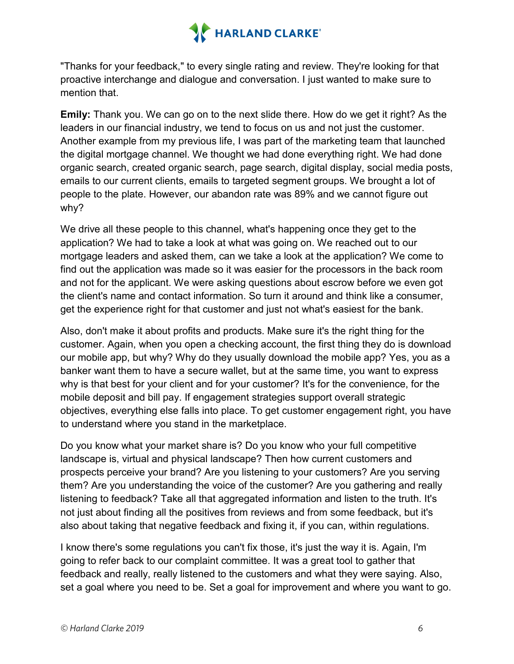

"Thanks for your feedback," to every single rating and review. They're looking for that proactive interchange and dialogue and conversation. I just wanted to make sure to mention that.

**Emily:** Thank you. We can go on to the next slide there. How do we get it right? As the leaders in our financial industry, we tend to focus on us and not just the customer. Another example from my previous life, I was part of the marketing team that launched the digital mortgage channel. We thought we had done everything right. We had done organic search, created organic search, page search, digital display, social media posts, emails to our current clients, emails to targeted segment groups. We brought a lot of people to the plate. However, our abandon rate was 89% and we cannot figure out why?

We drive all these people to this channel, what's happening once they get to the application? We had to take a look at what was going on. We reached out to our mortgage leaders and asked them, can we take a look at the application? We come to find out the application was made so it was easier for the processors in the back room and not for the applicant. We were asking questions about escrow before we even got the client's name and contact information. So turn it around and think like a consumer, get the experience right for that customer and just not what's easiest for the bank.

Also, don't make it about profits and products. Make sure it's the right thing for the customer. Again, when you open a checking account, the first thing they do is download our mobile app, but why? Why do they usually download the mobile app? Yes, you as a banker want them to have a secure wallet, but at the same time, you want to express why is that best for your client and for your customer? It's for the convenience, for the mobile deposit and bill pay. If engagement strategies support overall strategic objectives, everything else falls into place. To get customer engagement right, you have to understand where you stand in the marketplace.

Do you know what your market share is? Do you know who your full competitive landscape is, virtual and physical landscape? Then how current customers and prospects perceive your brand? Are you listening to your customers? Are you serving them? Are you understanding the voice of the customer? Are you gathering and really listening to feedback? Take all that aggregated information and listen to the truth. It's not just about finding all the positives from reviews and from some feedback, but it's also about taking that negative feedback and fixing it, if you can, within regulations.

I know there's some regulations you can't fix those, it's just the way it is. Again, I'm going to refer back to our complaint committee. It was a great tool to gather that feedback and really, really listened to the customers and what they were saying. Also, set a goal where you need to be. Set a goal for improvement and where you want to go.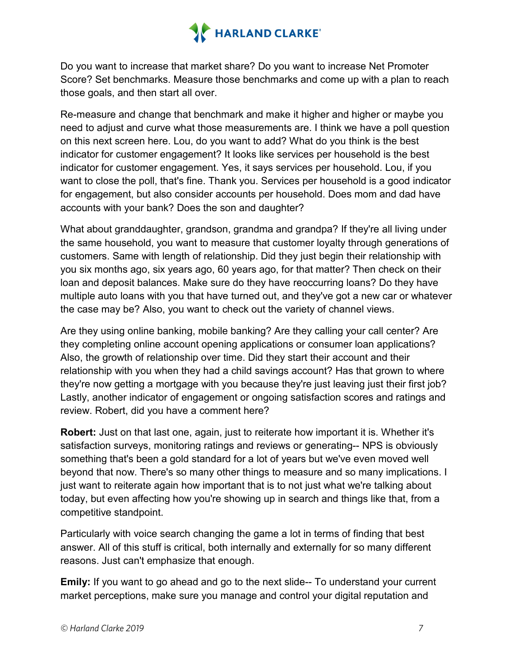

Do you want to increase that market share? Do you want to increase Net Promoter Score? Set benchmarks. Measure those benchmarks and come up with a plan to reach those goals, and then start all over.

Re-measure and change that benchmark and make it higher and higher or maybe you need to adjust and curve what those measurements are. I think we have a poll question on this next screen here. Lou, do you want to add? What do you think is the best indicator for customer engagement? It looks like services per household is the best indicator for customer engagement. Yes, it says services per household. Lou, if you want to close the poll, that's fine. Thank you. Services per household is a good indicator for engagement, but also consider accounts per household. Does mom and dad have accounts with your bank? Does the son and daughter?

What about granddaughter, grandson, grandma and grandpa? If they're all living under the same household, you want to measure that customer loyalty through generations of customers. Same with length of relationship. Did they just begin their relationship with you six months ago, six years ago, 60 years ago, for that matter? Then check on their loan and deposit balances. Make sure do they have reoccurring loans? Do they have multiple auto loans with you that have turned out, and they've got a new car or whatever the case may be? Also, you want to check out the variety of channel views.

Are they using online banking, mobile banking? Are they calling your call center? Are they completing online account opening applications or consumer loan applications? Also, the growth of relationship over time. Did they start their account and their relationship with you when they had a child savings account? Has that grown to where they're now getting a mortgage with you because they're just leaving just their first job? Lastly, another indicator of engagement or ongoing satisfaction scores and ratings and review. Robert, did you have a comment here?

**Robert:** Just on that last one, again, just to reiterate how important it is. Whether it's satisfaction surveys, monitoring ratings and reviews or generating-- NPS is obviously something that's been a gold standard for a lot of years but we've even moved well beyond that now. There's so many other things to measure and so many implications. I just want to reiterate again how important that is to not just what we're talking about today, but even affecting how you're showing up in search and things like that, from a competitive standpoint.

Particularly with voice search changing the game a lot in terms of finding that best answer. All of this stuff is critical, both internally and externally for so many different reasons. Just can't emphasize that enough.

**Emily:** If you want to go ahead and go to the next slide-- To understand your current market perceptions, make sure you manage and control your digital reputation and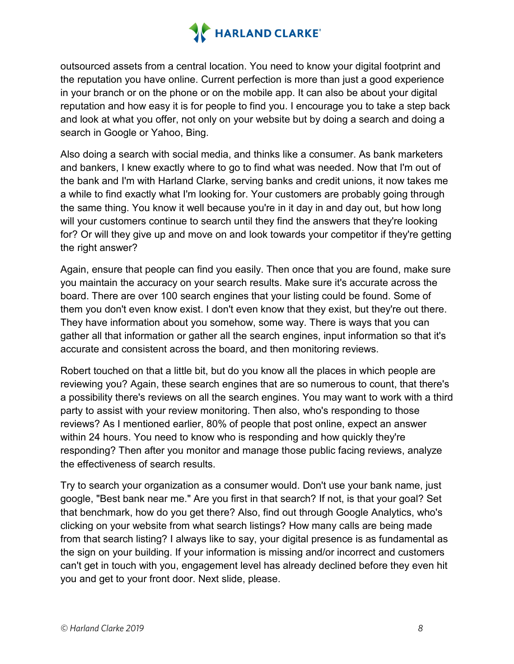

outsourced assets from a central location. You need to know your digital footprint and the reputation you have online. Current perfection is more than just a good experience in your branch or on the phone or on the mobile app. It can also be about your digital reputation and how easy it is for people to find you. I encourage you to take a step back and look at what you offer, not only on your website but by doing a search and doing a search in Google or Yahoo, Bing.

Also doing a search with social media, and thinks like a consumer. As bank marketers and bankers, I knew exactly where to go to find what was needed. Now that I'm out of the bank and I'm with Harland Clarke, serving banks and credit unions, it now takes me a while to find exactly what I'm looking for. Your customers are probably going through the same thing. You know it well because you're in it day in and day out, but how long will your customers continue to search until they find the answers that they're looking for? Or will they give up and move on and look towards your competitor if they're getting the right answer?

Again, ensure that people can find you easily. Then once that you are found, make sure you maintain the accuracy on your search results. Make sure it's accurate across the board. There are over 100 search engines that your listing could be found. Some of them you don't even know exist. I don't even know that they exist, but they're out there. They have information about you somehow, some way. There is ways that you can gather all that information or gather all the search engines, input information so that it's accurate and consistent across the board, and then monitoring reviews.

Robert touched on that a little bit, but do you know all the places in which people are reviewing you? Again, these search engines that are so numerous to count, that there's a possibility there's reviews on all the search engines. You may want to work with a third party to assist with your review monitoring. Then also, who's responding to those reviews? As I mentioned earlier, 80% of people that post online, expect an answer within 24 hours. You need to know who is responding and how quickly they're responding? Then after you monitor and manage those public facing reviews, analyze the effectiveness of search results.

Try to search your organization as a consumer would. Don't use your bank name, just google, "Best bank near me." Are you first in that search? If not, is that your goal? Set that benchmark, how do you get there? Also, find out through Google Analytics, who's clicking on your website from what search listings? How many calls are being made from that search listing? I always like to say, your digital presence is as fundamental as the sign on your building. If your information is missing and/or incorrect and customers can't get in touch with you, engagement level has already declined before they even hit you and get to your front door. Next slide, please.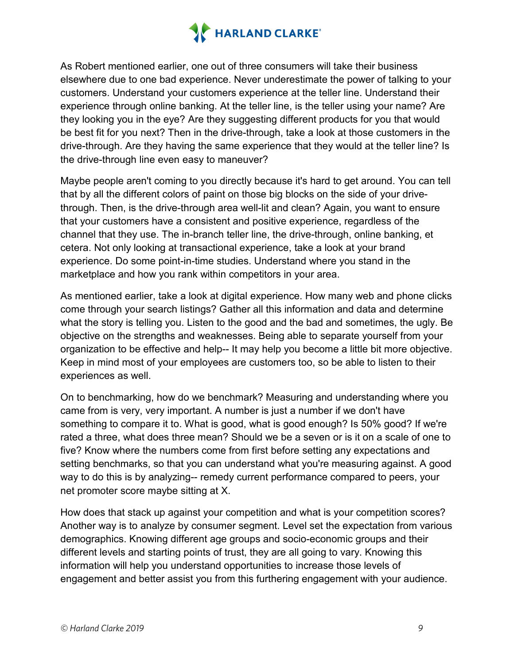

As Robert mentioned earlier, one out of three consumers will take their business elsewhere due to one bad experience. Never underestimate the power of talking to your customers. Understand your customers experience at the teller line. Understand their experience through online banking. At the teller line, is the teller using your name? Are they looking you in the eye? Are they suggesting different products for you that would be best fit for you next? Then in the drive-through, take a look at those customers in the drive-through. Are they having the same experience that they would at the teller line? Is the drive-through line even easy to maneuver?

Maybe people aren't coming to you directly because it's hard to get around. You can tell that by all the different colors of paint on those big blocks on the side of your drivethrough. Then, is the drive-through area well-lit and clean? Again, you want to ensure that your customers have a consistent and positive experience, regardless of the channel that they use. The in-branch teller line, the drive-through, online banking, et cetera. Not only looking at transactional experience, take a look at your brand experience. Do some point-in-time studies. Understand where you stand in the marketplace and how you rank within competitors in your area.

As mentioned earlier, take a look at digital experience. How many web and phone clicks come through your search listings? Gather all this information and data and determine what the story is telling you. Listen to the good and the bad and sometimes, the ugly. Be objective on the strengths and weaknesses. Being able to separate yourself from your organization to be effective and help-- It may help you become a little bit more objective. Keep in mind most of your employees are customers too, so be able to listen to their experiences as well.

On to benchmarking, how do we benchmark? Measuring and understanding where you came from is very, very important. A number is just a number if we don't have something to compare it to. What is good, what is good enough? Is 50% good? If we're rated a three, what does three mean? Should we be a seven or is it on a scale of one to five? Know where the numbers come from first before setting any expectations and setting benchmarks, so that you can understand what you're measuring against. A good way to do this is by analyzing-- remedy current performance compared to peers, your net promoter score maybe sitting at X.

How does that stack up against your competition and what is your competition scores? Another way is to analyze by consumer segment. Level set the expectation from various demographics. Knowing different age groups and socio-economic groups and their different levels and starting points of trust, they are all going to vary. Knowing this information will help you understand opportunities to increase those levels of engagement and better assist you from this furthering engagement with your audience.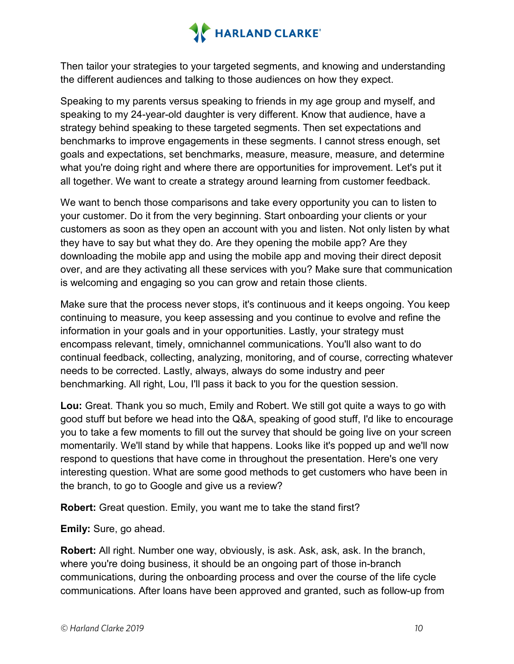

Then tailor your strategies to your targeted segments, and knowing and understanding the different audiences and talking to those audiences on how they expect.

Speaking to my parents versus speaking to friends in my age group and myself, and speaking to my 24-year-old daughter is very different. Know that audience, have a strategy behind speaking to these targeted segments. Then set expectations and benchmarks to improve engagements in these segments. I cannot stress enough, set goals and expectations, set benchmarks, measure, measure, measure, and determine what you're doing right and where there are opportunities for improvement. Let's put it all together. We want to create a strategy around learning from customer feedback.

We want to bench those comparisons and take every opportunity you can to listen to your customer. Do it from the very beginning. Start onboarding your clients or your customers as soon as they open an account with you and listen. Not only listen by what they have to say but what they do. Are they opening the mobile app? Are they downloading the mobile app and using the mobile app and moving their direct deposit over, and are they activating all these services with you? Make sure that communication is welcoming and engaging so you can grow and retain those clients.

Make sure that the process never stops, it's continuous and it keeps ongoing. You keep continuing to measure, you keep assessing and you continue to evolve and refine the information in your goals and in your opportunities. Lastly, your strategy must encompass relevant, timely, omnichannel communications. You'll also want to do continual feedback, collecting, analyzing, monitoring, and of course, correcting whatever needs to be corrected. Lastly, always, always do some industry and peer benchmarking. All right, Lou, I'll pass it back to you for the question session.

**Lou:** Great. Thank you so much, Emily and Robert. We still got quite a ways to go with good stuff but before we head into the Q&A, speaking of good stuff, I'd like to encourage you to take a few moments to fill out the survey that should be going live on your screen momentarily. We'll stand by while that happens. Looks like it's popped up and we'll now respond to questions that have come in throughout the presentation. Here's one very interesting question. What are some good methods to get customers who have been in the branch, to go to Google and give us a review?

**Robert:** Great question. Emily, you want me to take the stand first?

**Emily:** Sure, go ahead.

**Robert:** All right. Number one way, obviously, is ask. Ask, ask, ask. In the branch, where you're doing business, it should be an ongoing part of those in-branch communications, during the onboarding process and over the course of the life cycle communications. After loans have been approved and granted, such as follow-up from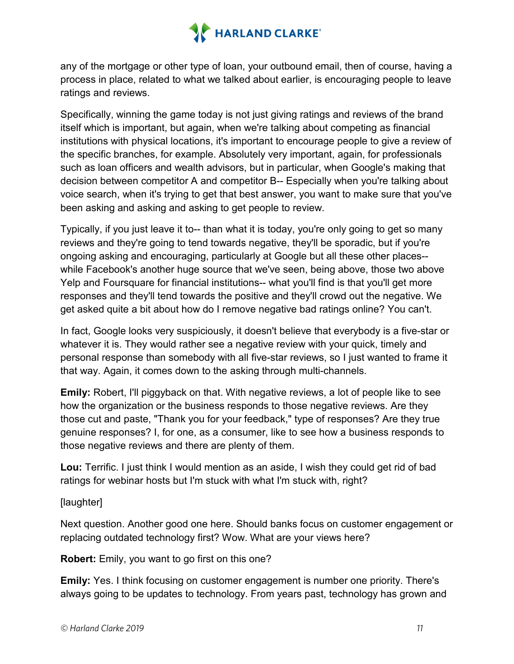

any of the mortgage or other type of loan, your outbound email, then of course, having a process in place, related to what we talked about earlier, is encouraging people to leave ratings and reviews.

Specifically, winning the game today is not just giving ratings and reviews of the brand itself which is important, but again, when we're talking about competing as financial institutions with physical locations, it's important to encourage people to give a review of the specific branches, for example. Absolutely very important, again, for professionals such as loan officers and wealth advisors, but in particular, when Google's making that decision between competitor A and competitor B-- Especially when you're talking about voice search, when it's trying to get that best answer, you want to make sure that you've been asking and asking and asking to get people to review.

Typically, if you just leave it to-- than what it is today, you're only going to get so many reviews and they're going to tend towards negative, they'll be sporadic, but if you're ongoing asking and encouraging, particularly at Google but all these other places- while Facebook's another huge source that we've seen, being above, those two above Yelp and Foursquare for financial institutions-- what you'll find is that you'll get more responses and they'll tend towards the positive and they'll crowd out the negative. We get asked quite a bit about how do I remove negative bad ratings online? You can't.

In fact, Google looks very suspiciously, it doesn't believe that everybody is a five-star or whatever it is. They would rather see a negative review with your quick, timely and personal response than somebody with all five-star reviews, so I just wanted to frame it that way. Again, it comes down to the asking through multi-channels.

**Emily:** Robert, I'll piggyback on that. With negative reviews, a lot of people like to see how the organization or the business responds to those negative reviews. Are they those cut and paste, "Thank you for your feedback," type of responses? Are they true genuine responses? I, for one, as a consumer, like to see how a business responds to those negative reviews and there are plenty of them.

**Lou:** Terrific. I just think I would mention as an aside, I wish they could get rid of bad ratings for webinar hosts but I'm stuck with what I'm stuck with, right?

[laughter]

Next question. Another good one here. Should banks focus on customer engagement or replacing outdated technology first? Wow. What are your views here?

**Robert:** Emily, you want to go first on this one?

**Emily:** Yes. I think focusing on customer engagement is number one priority. There's always going to be updates to technology. From years past, technology has grown and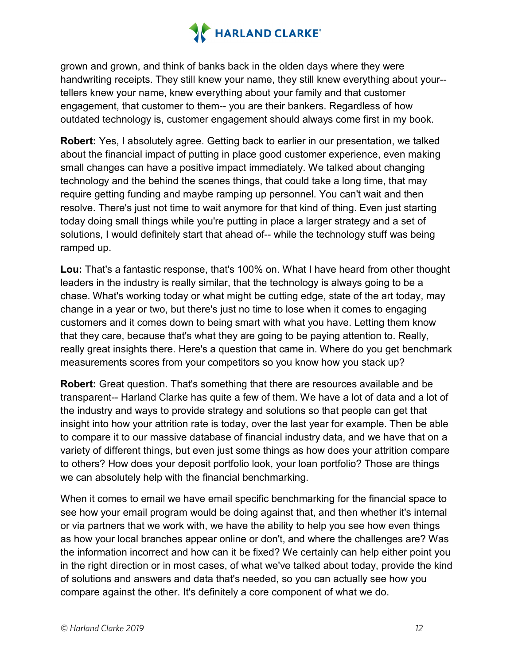

grown and grown, and think of banks back in the olden days where they were handwriting receipts. They still knew your name, they still knew everything about your- tellers knew your name, knew everything about your family and that customer engagement, that customer to them-- you are their bankers. Regardless of how outdated technology is, customer engagement should always come first in my book.

**Robert:** Yes, I absolutely agree. Getting back to earlier in our presentation, we talked about the financial impact of putting in place good customer experience, even making small changes can have a positive impact immediately. We talked about changing technology and the behind the scenes things, that could take a long time, that may require getting funding and maybe ramping up personnel. You can't wait and then resolve. There's just not time to wait anymore for that kind of thing. Even just starting today doing small things while you're putting in place a larger strategy and a set of solutions, I would definitely start that ahead of-- while the technology stuff was being ramped up.

**Lou:** That's a fantastic response, that's 100% on. What I have heard from other thought leaders in the industry is really similar, that the technology is always going to be a chase. What's working today or what might be cutting edge, state of the art today, may change in a year or two, but there's just no time to lose when it comes to engaging customers and it comes down to being smart with what you have. Letting them know that they care, because that's what they are going to be paying attention to. Really, really great insights there. Here's a question that came in. Where do you get benchmark measurements scores from your competitors so you know how you stack up?

**Robert:** Great question. That's something that there are resources available and be transparent-- Harland Clarke has quite a few of them. We have a lot of data and a lot of the industry and ways to provide strategy and solutions so that people can get that insight into how your attrition rate is today, over the last year for example. Then be able to compare it to our massive database of financial industry data, and we have that on a variety of different things, but even just some things as how does your attrition compare to others? How does your deposit portfolio look, your loan portfolio? Those are things we can absolutely help with the financial benchmarking.

When it comes to email we have email specific benchmarking for the financial space to see how your email program would be doing against that, and then whether it's internal or via partners that we work with, we have the ability to help you see how even things as how your local branches appear online or don't, and where the challenges are? Was the information incorrect and how can it be fixed? We certainly can help either point you in the right direction or in most cases, of what we've talked about today, provide the kind of solutions and answers and data that's needed, so you can actually see how you compare against the other. It's definitely a core component of what we do.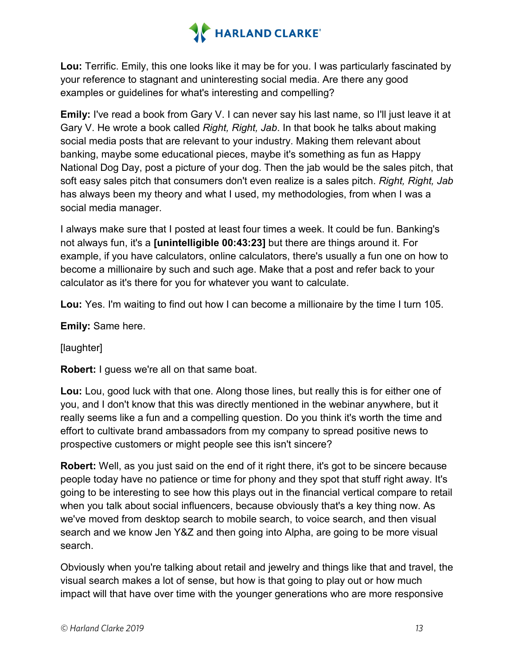

**Lou:** Terrific. Emily, this one looks like it may be for you. I was particularly fascinated by your reference to stagnant and uninteresting social media. Are there any good examples or guidelines for what's interesting and compelling?

**Emily:** I've read a book from Gary V. I can never say his last name, so I'll just leave it at Gary V. He wrote a book called *Right, Right, Jab*. In that book he talks about making social media posts that are relevant to your industry. Making them relevant about banking, maybe some educational pieces, maybe it's something as fun as Happy National Dog Day, post a picture of your dog. Then the jab would be the sales pitch, that soft easy sales pitch that consumers don't even realize is a sales pitch. *Right, Right, Jab* has always been my theory and what I used, my methodologies, from when I was a social media manager.

I always make sure that I posted at least four times a week. It could be fun. Banking's not always fun, it's a **[unintelligible 00:43:23]** but there are things around it. For example, if you have calculators, online calculators, there's usually a fun one on how to become a millionaire by such and such age. Make that a post and refer back to your calculator as it's there for you for whatever you want to calculate.

**Lou:** Yes. I'm waiting to find out how I can become a millionaire by the time I turn 105.

**Emily:** Same here.

[laughter]

**Robert:** I guess we're all on that same boat.

**Lou:** Lou, good luck with that one. Along those lines, but really this is for either one of you, and I don't know that this was directly mentioned in the webinar anywhere, but it really seems like a fun and a compelling question. Do you think it's worth the time and effort to cultivate brand ambassadors from my company to spread positive news to prospective customers or might people see this isn't sincere?

**Robert:** Well, as you just said on the end of it right there, it's got to be sincere because people today have no patience or time for phony and they spot that stuff right away. It's going to be interesting to see how this plays out in the financial vertical compare to retail when you talk about social influencers, because obviously that's a key thing now. As we've moved from desktop search to mobile search, to voice search, and then visual search and we know Jen Y&Z and then going into Alpha, are going to be more visual search.

Obviously when you're talking about retail and jewelry and things like that and travel, the visual search makes a lot of sense, but how is that going to play out or how much impact will that have over time with the younger generations who are more responsive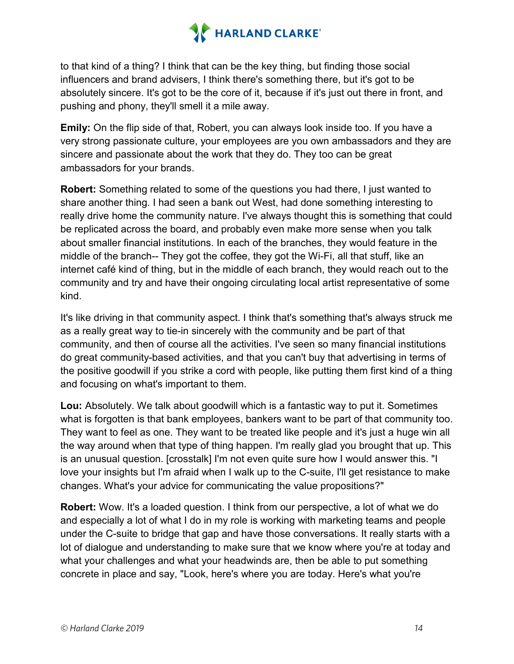

to that kind of a thing? I think that can be the key thing, but finding those social influencers and brand advisers, I think there's something there, but it's got to be absolutely sincere. It's got to be the core of it, because if it's just out there in front, and pushing and phony, they'll smell it a mile away.

**Emily:** On the flip side of that, Robert, you can always look inside too. If you have a very strong passionate culture, your employees are you own ambassadors and they are sincere and passionate about the work that they do. They too can be great ambassadors for your brands.

**Robert:** Something related to some of the questions you had there, I just wanted to share another thing. I had seen a bank out West, had done something interesting to really drive home the community nature. I've always thought this is something that could be replicated across the board, and probably even make more sense when you talk about smaller financial institutions. In each of the branches, they would feature in the middle of the branch-- They got the coffee, they got the Wi-Fi, all that stuff, like an internet café kind of thing, but in the middle of each branch, they would reach out to the community and try and have their ongoing circulating local artist representative of some kind.

It's like driving in that community aspect. I think that's something that's always struck me as a really great way to tie-in sincerely with the community and be part of that community, and then of course all the activities. I've seen so many financial institutions do great community-based activities, and that you can't buy that advertising in terms of the positive goodwill if you strike a cord with people, like putting them first kind of a thing and focusing on what's important to them.

**Lou:** Absolutely. We talk about goodwill which is a fantastic way to put it. Sometimes what is forgotten is that bank employees, bankers want to be part of that community too. They want to feel as one. They want to be treated like people and it's just a huge win all the way around when that type of thing happen. I'm really glad you brought that up. This is an unusual question. [crosstalk] I'm not even quite sure how I would answer this. "I love your insights but I'm afraid when I walk up to the C-suite, I'll get resistance to make changes. What's your advice for communicating the value propositions?"

**Robert:** Wow. It's a loaded question. I think from our perspective, a lot of what we do and especially a lot of what I do in my role is working with marketing teams and people under the C-suite to bridge that gap and have those conversations. It really starts with a lot of dialogue and understanding to make sure that we know where you're at today and what your challenges and what your headwinds are, then be able to put something concrete in place and say, "Look, here's where you are today. Here's what you're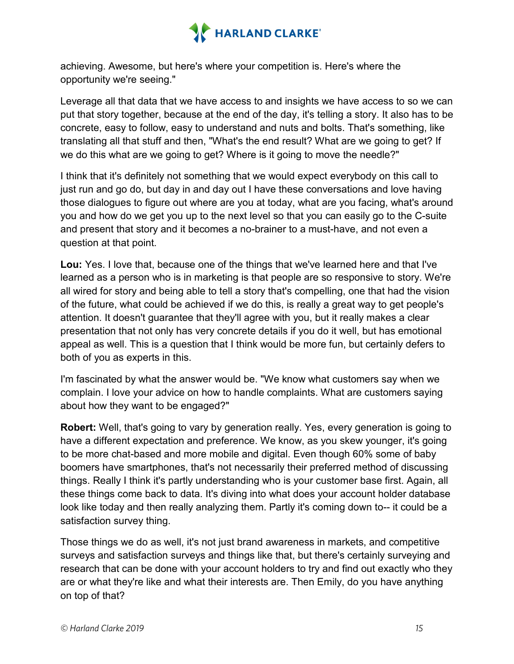

achieving. Awesome, but here's where your competition is. Here's where the opportunity we're seeing."

Leverage all that data that we have access to and insights we have access to so we can put that story together, because at the end of the day, it's telling a story. It also has to be concrete, easy to follow, easy to understand and nuts and bolts. That's something, like translating all that stuff and then, "What's the end result? What are we going to get? If we do this what are we going to get? Where is it going to move the needle?"

I think that it's definitely not something that we would expect everybody on this call to just run and go do, but day in and day out I have these conversations and love having those dialogues to figure out where are you at today, what are you facing, what's around you and how do we get you up to the next level so that you can easily go to the C-suite and present that story and it becomes a no-brainer to a must-have, and not even a question at that point.

**Lou:** Yes. I love that, because one of the things that we've learned here and that I've learned as a person who is in marketing is that people are so responsive to story. We're all wired for story and being able to tell a story that's compelling, one that had the vision of the future, what could be achieved if we do this, is really a great way to get people's attention. It doesn't guarantee that they'll agree with you, but it really makes a clear presentation that not only has very concrete details if you do it well, but has emotional appeal as well. This is a question that I think would be more fun, but certainly defers to both of you as experts in this.

I'm fascinated by what the answer would be. "We know what customers say when we complain. I love your advice on how to handle complaints. What are customers saying about how they want to be engaged?"

**Robert:** Well, that's going to vary by generation really. Yes, every generation is going to have a different expectation and preference. We know, as you skew younger, it's going to be more chat-based and more mobile and digital. Even though 60% some of baby boomers have smartphones, that's not necessarily their preferred method of discussing things. Really I think it's partly understanding who is your customer base first. Again, all these things come back to data. It's diving into what does your account holder database look like today and then really analyzing them. Partly it's coming down to-- it could be a satisfaction survey thing.

Those things we do as well, it's not just brand awareness in markets, and competitive surveys and satisfaction surveys and things like that, but there's certainly surveying and research that can be done with your account holders to try and find out exactly who they are or what they're like and what their interests are. Then Emily, do you have anything on top of that?